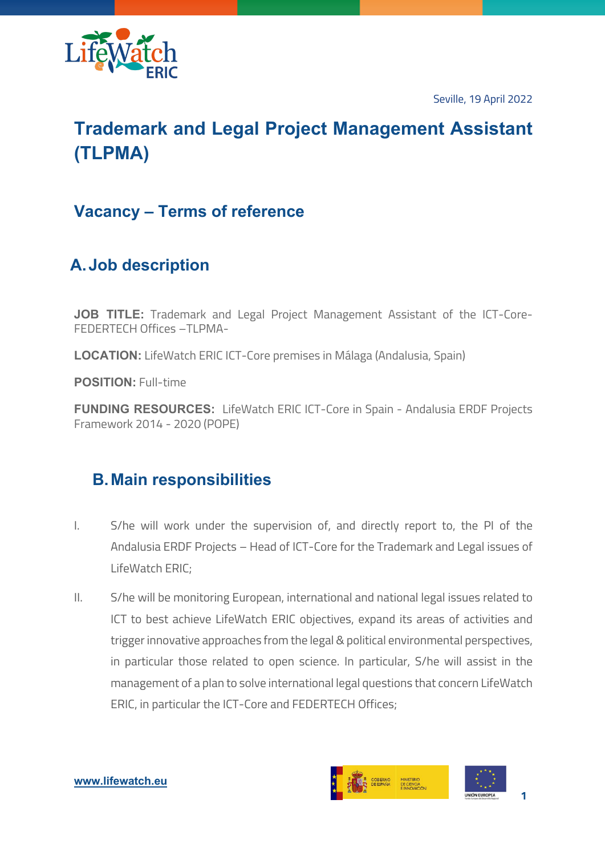

Seville, 19 April 2022

# **Trademark and Legal Project Management Assistant (TLPMA)**

### **Vacancy – Terms of reference**

## **A.Job description**

**JOB TITLE:** Trademark and Legal Project Management Assistant of the ICT-Core-FEDERTECH Offices –TLPMA-

**LOCATION:** LifeWatch ERIC ICT-Core premises in Málaga (Andalusia, Spain)

**POSITION:** Full-time

**FUNDING RESOURCES:** LifeWatch ERIC ICT-Core in Spain - Andalusia ERDF Projects Framework 2014 - 2020 (POPE)

### **B.Main responsibilities**

- I. S/he will work under the supervision of, and directly report to, the PI of the Andalusia ERDF Projects – Head of ICT-Core for the Trademark and Legal issues of LifeWatch ERIC;
- II. S/he will be monitoring European, international and national legal issues related to ICT to best achieve LifeWatch ERIC objectives, expand its areas of activities and trigger innovative approaches from the legal & political environmental perspectives, in particular those related to open science. In particular, S/he will assist in the management of a plan to solve international legal questions that concern LifeWatch ERIC, in particular the ICT-Core and FEDERTECH Offices;

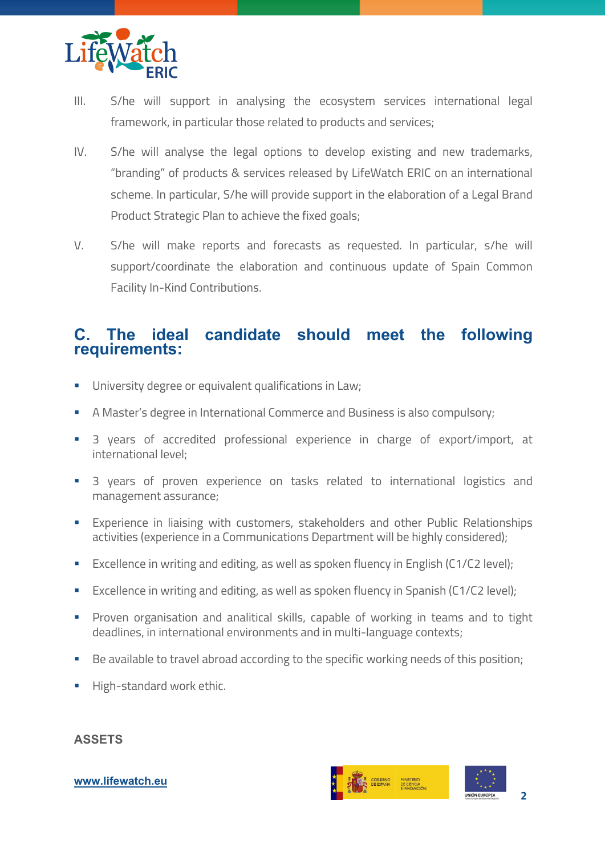

- III. S/he will support in analysing the ecosystem services international legal framework, in particular those related to products and services;
- IV. S/he will analyse the legal options to develop existing and new trademarks, "branding" of products & services released by LifeWatch ERIC on an international scheme. In particular, S/he will provide support in the elaboration of a Legal Brand Product Strategic Plan to achieve the fixed goals;
- V. S/he will make reports and forecasts as requested. In particular, s/he will support/coordinate the elaboration and continuous update of Spain Common Facility In-Kind Contributions.

### **C. The ideal candidate should meet the following requirements:**

- **•** University degree or equivalent qualifications in Law;
- A Master's degree in International Commerce and Business is also compulsory;
- § 3 years of accredited professional experience in charge of export/import, at international level;
- § 3 years of proven experience on tasks related to international logistics and management assurance;
- **Experience in liaising with customers, stakeholders and other Public Relationships** activities (experience in a Communications Department will be highly considered);
- Excellence in writing and editing, as well as spoken fluency in English (C1/C2 level);
- Excellence in writing and editing, as well as spoken fluency in Spanish (C1/C2 level);
- **•** Proven organisation and analitical skills, capable of working in teams and to tight deadlines, in international environments and in multi-language contexts;
- Be available to travel abroad according to the specific working needs of this position;
- **High-standard work ethic.**

#### **ASSETS**

#### SOBIERNO MINISTERIO<br>DE CIENCIA<br>E INNOVACIÓ **2**

#### **www.lifewatch.eu**